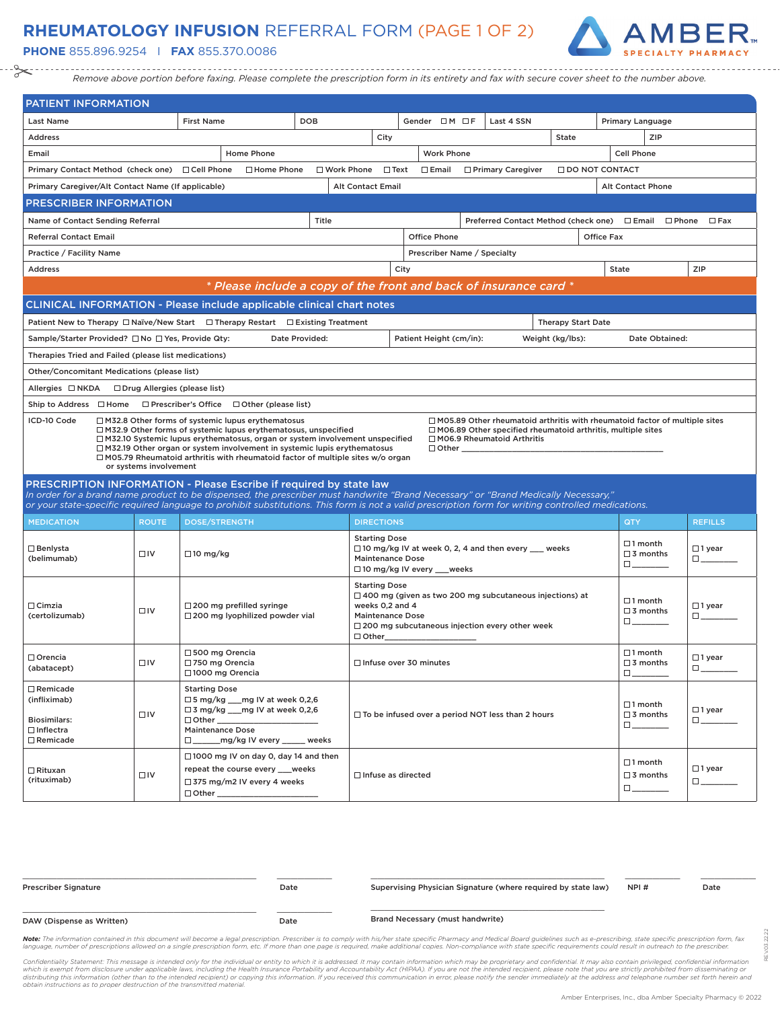## **RHEUMATOLOGY INFUSION** REFERRAL FORM (PAGE 1 OF 2)

**PHONE** 855.896.9254 I **FAX** 855.370.0086



*Remove above portion before faxing. Please complete the prescription form in its entirety and fax with secure cover sheet to the number above.*

| <b>PATIENT INFORMATION</b>                                                                                                                                                                                                                                                                                                                                                                                                                                                                                                                                                                                                                               |                                |                                                                 |                                                                                                                                           |                      |  |                                                                                    |                               |                   |                                                                                                                         |                           |                        |                                                                      |                               |
|----------------------------------------------------------------------------------------------------------------------------------------------------------------------------------------------------------------------------------------------------------------------------------------------------------------------------------------------------------------------------------------------------------------------------------------------------------------------------------------------------------------------------------------------------------------------------------------------------------------------------------------------------------|--------------------------------|-----------------------------------------------------------------|-------------------------------------------------------------------------------------------------------------------------------------------|----------------------|--|------------------------------------------------------------------------------------|-------------------------------|-------------------|-------------------------------------------------------------------------------------------------------------------------|---------------------------|------------------------|----------------------------------------------------------------------|-------------------------------|
| <b>Last Name</b>                                                                                                                                                                                                                                                                                                                                                                                                                                                                                                                                                                                                                                         |                                | <b>First Name</b>                                               |                                                                                                                                           | <b>DOB</b>           |  |                                                                                    | Gender $\Box M \Box F$        |                   | Last 4 SSN                                                                                                              |                           |                        | Primary Language                                                     |                               |
| <b>Address</b>                                                                                                                                                                                                                                                                                                                                                                                                                                                                                                                                                                                                                                           |                                |                                                                 |                                                                                                                                           |                      |  | City                                                                               |                               |                   |                                                                                                                         | State                     |                        | ZIP                                                                  |                               |
| Email                                                                                                                                                                                                                                                                                                                                                                                                                                                                                                                                                                                                                                                    |                                |                                                                 | Home Phone                                                                                                                                |                      |  |                                                                                    |                               | <b>Work Phone</b> |                                                                                                                         |                           | Cell Phone             |                                                                      |                               |
| Primary Contact Method (check one) □ Cell Phone                                                                                                                                                                                                                                                                                                                                                                                                                                                                                                                                                                                                          |                                |                                                                 | □ Home Phone                                                                                                                              | $\square$ Work Phone |  | $\Box$ Text                                                                        | $\Box$ Email                  |                   | □ Primary Caregiver                                                                                                     |                           | <b>ODO NOT CONTACT</b> |                                                                      |                               |
| Primary Caregiver/Alt Contact Name (If applicable)                                                                                                                                                                                                                                                                                                                                                                                                                                                                                                                                                                                                       |                                |                                                                 |                                                                                                                                           |                      |  | <b>Alt Contact Email</b>                                                           |                               |                   |                                                                                                                         |                           |                        | Alt Contact Phone                                                    |                               |
| <b>PRESCRIBER INFORMATION</b>                                                                                                                                                                                                                                                                                                                                                                                                                                                                                                                                                                                                                            |                                |                                                                 |                                                                                                                                           |                      |  |                                                                                    |                               |                   |                                                                                                                         |                           |                        |                                                                      |                               |
| Name of Contact Sending Referral                                                                                                                                                                                                                                                                                                                                                                                                                                                                                                                                                                                                                         |                                |                                                                 |                                                                                                                                           | Title                |  |                                                                                    |                               |                   | Preferred Contact Method (check one) □ Email □ Phone                                                                    |                           |                        |                                                                      | $\Box$ Fax                    |
| <b>Referral Contact Email</b>                                                                                                                                                                                                                                                                                                                                                                                                                                                                                                                                                                                                                            |                                |                                                                 |                                                                                                                                           |                      |  |                                                                                    | <b>Office Phone</b>           |                   |                                                                                                                         |                           | <b>Office Fax</b>      |                                                                      |                               |
| Practice / Facility Name                                                                                                                                                                                                                                                                                                                                                                                                                                                                                                                                                                                                                                 |                                |                                                                 |                                                                                                                                           |                      |  |                                                                                    | Prescriber Name / Specialty   |                   |                                                                                                                         |                           |                        |                                                                      |                               |
| <b>Address</b>                                                                                                                                                                                                                                                                                                                                                                                                                                                                                                                                                                                                                                           |                                |                                                                 |                                                                                                                                           |                      |  |                                                                                    | City                          |                   |                                                                                                                         |                           | <b>State</b>           |                                                                      | ZIP                           |
|                                                                                                                                                                                                                                                                                                                                                                                                                                                                                                                                                                                                                                                          |                                |                                                                 | * Please include a copy of the front and back of insurance card *                                                                         |                      |  |                                                                                    |                               |                   |                                                                                                                         |                           |                        |                                                                      |                               |
| CLINICAL INFORMATION - Please include applicable clinical chart notes                                                                                                                                                                                                                                                                                                                                                                                                                                                                                                                                                                                    |                                |                                                                 |                                                                                                                                           |                      |  |                                                                                    |                               |                   |                                                                                                                         |                           |                        |                                                                      |                               |
| Patient New to Therapy □ Naïve/New Start □ Therapy Restart □ Existing Treatment                                                                                                                                                                                                                                                                                                                                                                                                                                                                                                                                                                          |                                |                                                                 |                                                                                                                                           |                      |  |                                                                                    |                               |                   |                                                                                                                         | <b>Therapy Start Date</b> |                        |                                                                      |                               |
| Sample/Starter Provided? □ No □ Yes, Provide Qty:                                                                                                                                                                                                                                                                                                                                                                                                                                                                                                                                                                                                        |                                |                                                                 |                                                                                                                                           | Date Provided:       |  |                                                                                    | Patient Height (cm/in):       |                   |                                                                                                                         | Weight (kg/lbs):          |                        | Date Obtained:                                                       |                               |
| Therapies Tried and Failed (please list medications)                                                                                                                                                                                                                                                                                                                                                                                                                                                                                                                                                                                                     |                                |                                                                 |                                                                                                                                           |                      |  |                                                                                    |                               |                   |                                                                                                                         |                           |                        |                                                                      |                               |
| Other/Concomitant Medications (please list)                                                                                                                                                                                                                                                                                                                                                                                                                                                                                                                                                                                                              |                                |                                                                 |                                                                                                                                           |                      |  |                                                                                    |                               |                   |                                                                                                                         |                           |                        |                                                                      |                               |
| Allergies □ NKDA                                                                                                                                                                                                                                                                                                                                                                                                                                                                                                                                                                                                                                         | □ Drug Allergies (please list) |                                                                 |                                                                                                                                           |                      |  |                                                                                    |                               |                   |                                                                                                                         |                           |                        |                                                                      |                               |
| Ship to Address □ Home                                                                                                                                                                                                                                                                                                                                                                                                                                                                                                                                                                                                                                   |                                |                                                                 | $\Box$ Prescriber's Office $\Box$ Other (please list)                                                                                     |                      |  |                                                                                    |                               |                   |                                                                                                                         |                           |                        |                                                                      |                               |
| ICD-10 Code<br>□ M32.8 Other forms of systemic lupus erythematosus<br>$\Box$ M05.89 Other rheumatoid arthritis with rheumatoid factor of multiple sites<br>$\Box$ M32.9 Other forms of systemic lupus erythematosus, unspecified<br>$\Box$ M06.89 Other specified rheumatoid arthritis, multiple sites<br>$\Box$ M32.10 Systemic lupus erythematosus, organ or system involvement unspecified<br>$\Box$ M06.9 Rheumatoid Arthritis<br>$\Box$ M32.19 Other organ or system involvement in systemic lupis erythematosus<br>$\Box$ Other<br>$\Box$ M05.79 Rheumatoid arthritis with rheumatoid factor of multiple sites w/o organ<br>or systems involvement |                                |                                                                 |                                                                                                                                           |                      |  |                                                                                    |                               |                   |                                                                                                                         |                           |                        |                                                                      |                               |
| PRESCRIPTION INFORMATION - Please Escribe if required by state law<br>In order for a brand name product to be dispensed, the prescriber must handwrite "Brand Necessary" or "Brand Medically Necessary,"<br>or your state-specific required language to prohibit substitutions. This form is not a valid prescription form for writing controlled medications.                                                                                                                                                                                                                                                                                           |                                |                                                                 |                                                                                                                                           |                      |  |                                                                                    |                               |                   |                                                                                                                         |                           |                        |                                                                      |                               |
| <b>MEDICATION</b>                                                                                                                                                                                                                                                                                                                                                                                                                                                                                                                                                                                                                                        | <b>ROUTE</b>                   | <b>DOSE/STRENGTH</b>                                            |                                                                                                                                           |                      |  | <b>DIRECTIONS</b>                                                                  |                               |                   |                                                                                                                         |                           | QTY                    |                                                                      | <b>REFILLS</b>                |
| $\Box$ Benlysta<br>(belimumab)                                                                                                                                                                                                                                                                                                                                                                                                                                                                                                                                                                                                                           | $\Box$ IV                      | $\Box$ 10 mg/kg                                                 |                                                                                                                                           |                      |  | <b>Starting Dose</b><br><b>Maintenance Dose</b>                                    | □ 10 mg/kg IV every ___weeks  |                   | □ 10 mg/kg IV at week 0, 2, 4 and then every ___ weeks                                                                  |                           |                        | $\Box$ 1 month<br>$\square$ 3 months<br>$\Box$ and $\Box$ and $\Box$ | $\square$ 1 year<br>$\square$ |
| $\Box$ Cimzia<br>(certolizumab)                                                                                                                                                                                                                                                                                                                                                                                                                                                                                                                                                                                                                          | $\Box$ IV                      |                                                                 | $\Box$ 200 mg prefilled syringe<br>□ 200 mg lyophilized powder vial                                                                       |                      |  | <b>Starting Dose</b><br>weeks 0,2 and 4<br><b>Maintenance Dose</b><br>$\Box$ Other |                               |                   | $\Box$ 400 mg (given as two 200 mg subcutaneous injections) at<br>$\Box$ 200 mg subcutaneous injection every other week |                           | $\Box$                 | $\Box$ 1 month<br>$\square$ 3 months                                 | $\square$ 1 year<br>$\Box$    |
| $\square$ Orencia<br>(abatacept)                                                                                                                                                                                                                                                                                                                                                                                                                                                                                                                                                                                                                         | □IV                            | □ 500 mg Orencia<br>□ 750 mg Orencia<br>□ 1000 mg Orencia       |                                                                                                                                           |                      |  |                                                                                    | $\Box$ Infuse over 30 minutes |                   |                                                                                                                         |                           | $\square$              | $\Box$ 1 month<br>$\square$ 3 months                                 | $\Box$ 1 year<br>$\Box$       |
| $\Box$ Remicade<br>(infliximab)<br><b>Biosimilars:</b><br>$\Box$ Inflectra<br>□ Remicade                                                                                                                                                                                                                                                                                                                                                                                                                                                                                                                                                                 | $\Box$ IV                      | <b>Starting Dose</b><br>$\Box$ Other<br><b>Maintenance Dose</b> | □ 5 mg/kg ___mg IV at week 0,2,6<br>□ 3 mg/kg ___ mg IV at week 0,2,6<br>□ _______mg/kg IV every ______ weeks                             |                      |  |                                                                                    |                               |                   | $\Box$ To be infused over a period NOT less than 2 hours                                                                |                           |                        | $\Box$ 1 month<br>$\square$ 3 months<br>$\square$                    | $\Box$ 1 year<br>$\square$    |
| $\Box$ Rituxan<br>(rituximab)                                                                                                                                                                                                                                                                                                                                                                                                                                                                                                                                                                                                                            | $\square$ IV                   |                                                                 | $\Box$ 1000 mg IV on day 0, day 14 and then<br>repeat the course every ___weeks<br>□ 375 mg/m2 IV every 4 weeks<br>□ Other ______________ |                      |  |                                                                                    | $\Box$ Infuse as directed     |                   |                                                                                                                         |                           |                        | $\Box$ 1 month<br>$\square$ 3 months<br>$\square$                    | $\Box$ 1 year<br>$\square$    |

| <b>Prescriber Signature</b> | Date | Supervising Physician Signature (where required by state law) | NPI# | Date |
|-----------------------------|------|---------------------------------------------------------------|------|------|
| DAW (Dispense as Written)   | Date | <b>Brand Necessary (must handwrite)</b>                       |      |      |

Note: The information contained in this document will become a legal prescription. Prescriber is to comply with his/her state specific Pharmacy and Medical Board guidelines such as e-prescribing, state specific prescriptio language, number of prescriptions allowed on a single prescription form, etc. If more than one page is required, make additional copies. Non-compliance with state specific requirements could result in outreach to the presc

Confidentiality Statement: This message is intended only for the individual or entity to which it is addressed. It may contain information which may be proprietary and confidential. It may also contain privileged, confiden

REV.03.22.22

/032222 Ñ